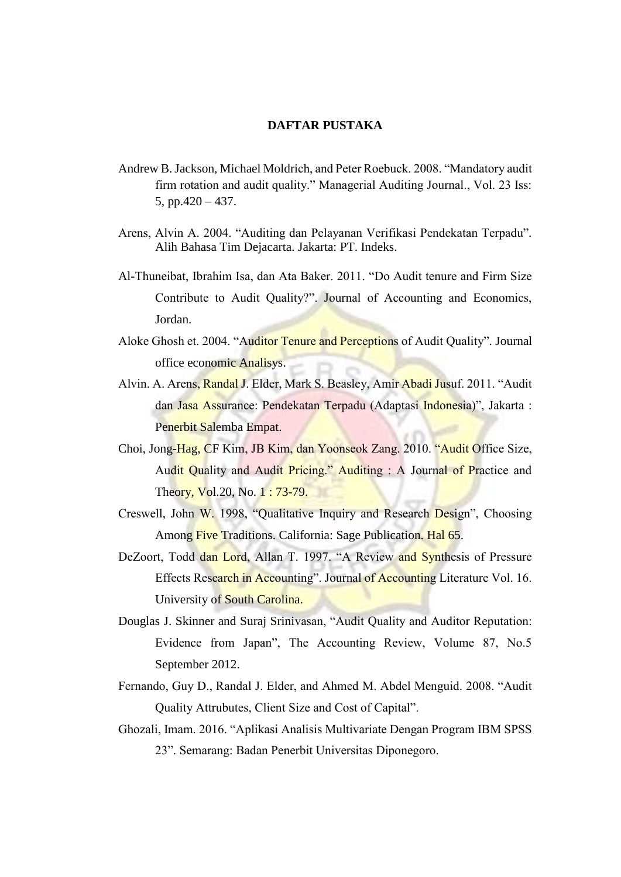## **DAFTAR PUSTAKA**

- Andrew B. Jackson, Michael Moldrich, and Peter Roebuck. 2008. "Mandatory audit firm rotation and audit quality." Managerial Auditing Journal., Vol. 23 Iss: 5, pp.420 – 437.
- Arens, Alvin A. 2004. "Auditing dan Pelayanan Verifikasi Pendekatan Terpadu"*.*  Alih Bahasa Tim Dejacarta. Jakarta: PT. Indeks.
- Al-Thuneibat, Ibrahim Isa, dan Ata Baker. 2011. "Do Audit tenure and Firm Size Contribute to Audit Quality?". Journal of Accounting and Economics, Jordan.
- Aloke Ghosh et. 2004. "Auditor Tenure and Perceptions of Audit Quality"*.* Journal office economic Analisys.
- Alvin. A. Arens, Randal J. Elder, Mark S. Beasley, Amir Abadi Jusuf. 2011. "Audit dan Jasa Assurance: Pendekatan Terpadu (Adaptasi Indonesia)", Jakarta : Penerbit Salemba Empat.
- Choi, Jong-Hag, CF Kim, JB Kim, dan Yoonseok Zang. 2010. "Audit Office Size, Audit Quality and Audit Pricing." Auditing : A Journal of Practice and Theory, Vol.20, No. 1: 73-79.
- Creswell, John W. 1998, "Qualitative Inquiry and Research Design", Choosing Among Five Traditions. California: Sage Publication. Hal 65.
- DeZoort, Todd dan Lord, Allan T. 1997. "A Review and Synthesis of Pressure Effects Research in Accounting". Journal of Accounting Literature Vol. 16. University of South Carolina.
- Douglas J. Skinner and Suraj Srinivasan, "Audit Quality and Auditor Reputation: Evidence from Japan", The Accounting Review, Volume 87, No.5 September 2012.
- Fernando, Guy D., Randal J. Elder, and Ahmed M. Abdel Menguid. 2008. "Audit Quality Attrubutes, Client Size and Cost of Capital".
- Ghozali, Imam. 2016. "Aplikasi Analisis Multivariate Dengan Program IBM SPSS 23". Semarang: Badan Penerbit Universitas Diponegoro.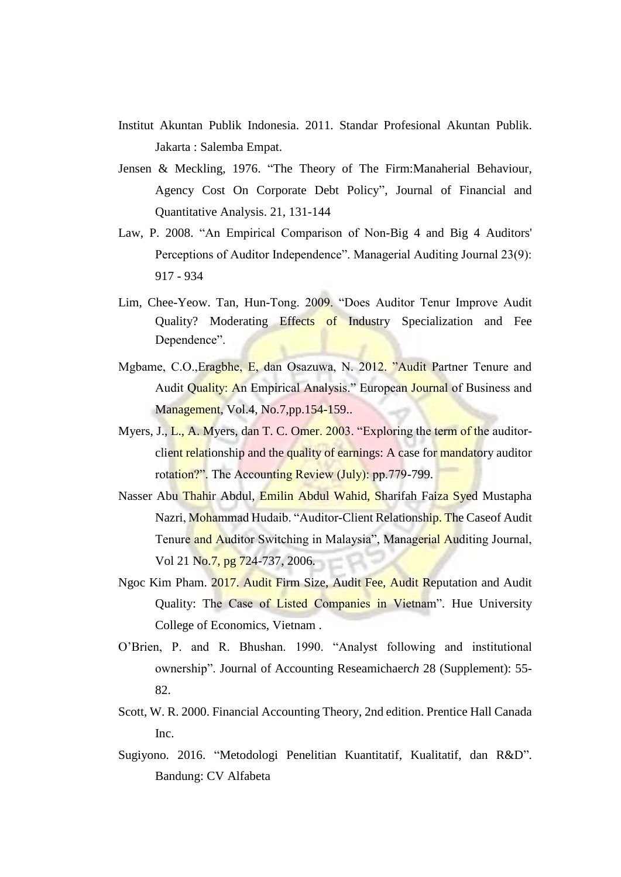- Institut Akuntan Publik Indonesia. 2011. Standar Profesional Akuntan Publik. Jakarta : Salemba Empat.
- Jensen & Meckling, 1976. "The Theory of The Firm:Manaherial Behaviour, Agency Cost On Corporate Debt Policy", Journal of Financial and Quantitative Analysis. 21, 131-144
- Law, P. 2008. "An Empirical Comparison of Non-Big 4 and Big 4 Auditors' Perceptions of Auditor Independence". Managerial Auditing Journal 23(9): 917 - 934
- Lim, Chee-Yeow. Tan, Hun-Tong. 2009. "Does Auditor Tenur Improve Audit Quality? Moderating Effects of Industry Specialization and Fee Dependence".
- Mgbame, C.O.,Eragbhe, E, dan Osazuwa, N. 2012. "Audit Partner Tenure and Audit Quality: An Empirical Analysis." European Journal of Business and Management, Vol.4, No.7, pp. 154-159..
- Myers, J., L., A. Myers, dan T. C. Omer. 2003. "Exploring the term of the auditorclient relationship and the quality of earnings: A case for mandatory auditor rotation?". The Accounting Review (July): pp.779-799.
- Nasser Abu Thahir Abdul, Emilin Abdul Wahid, Sharifah Faiza Syed Mustapha Nazri, Mohammad Hudaib. "Auditor-Client Relationship. The Caseof Audit Tenure and Auditor Switching in Malaysia", Managerial Auditing Journal, Vol 21 No.7, pg 724-737, 2006.
- Ngoc Kim Pham. 2017. Audit Firm Size, Audit Fee, Audit Reputation and Audit Quality: The Case of Listed Companies in Vietnam"*.* Hue University College of Economics, Vietnam .
- O'Brien, P. and R. Bhushan. 1990. "Analyst following and institutional ownership". Journal of Accounting Reseamichaerc*h* 28 (Supplement): 55- 82.
- Scott, W. R. 2000. Financial Accounting Theory, 2nd edition. Prentice Hall Canada Inc.
- Sugiyono. 2016. "Metodologi Penelitian Kuantitatif, Kualitatif, dan R&D". Bandung: CV Alfabeta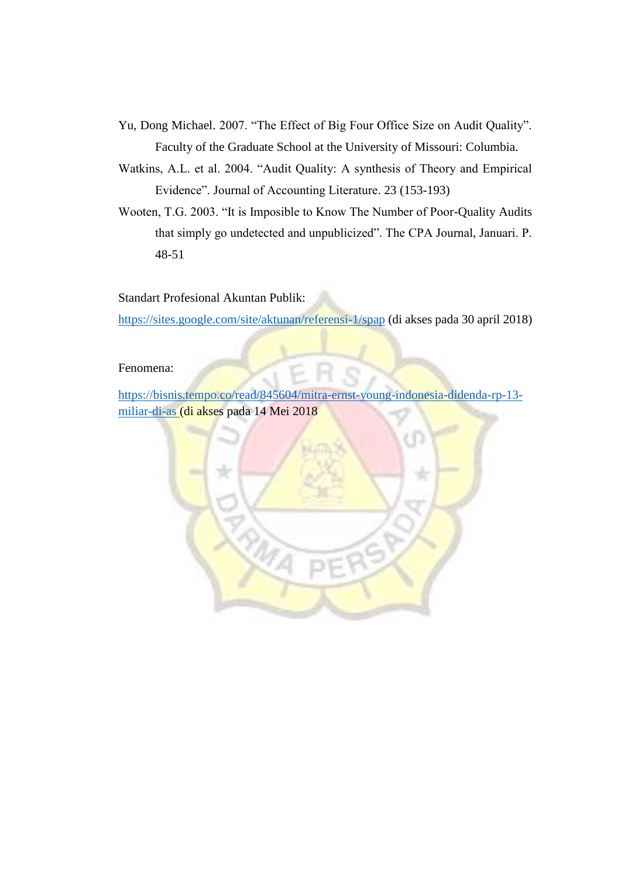- Yu, Dong Michael. 2007. "The Effect of Big Four Office Size on Audit Quality". Faculty of the Graduate School at the University of Missouri: Columbia.
- Watkins, A.L. et al. 2004. "Audit Quality: A synthesis of Theory and Empirical Evidence". Journal of Accounting Literature. 23 (153-193)
- Wooten, T.G. 2003. "It is Imposible to Know The Number of Poor-Quality Audits that simply go undetected and unpublicized". The CPA Journal, Januari. P. 48-51

Standart Profesional Akuntan Publik:

<https://sites.google.com/site/aktunan/referensi-1/spap> (di akses pada 30 april 2018)

## Fenomena:

https://bisnis.tempo.co/read/845604/mitra-ernst-young-indonesia-didenda-rp-13 miliar-di-as (di akses pada 14 Mei 2018